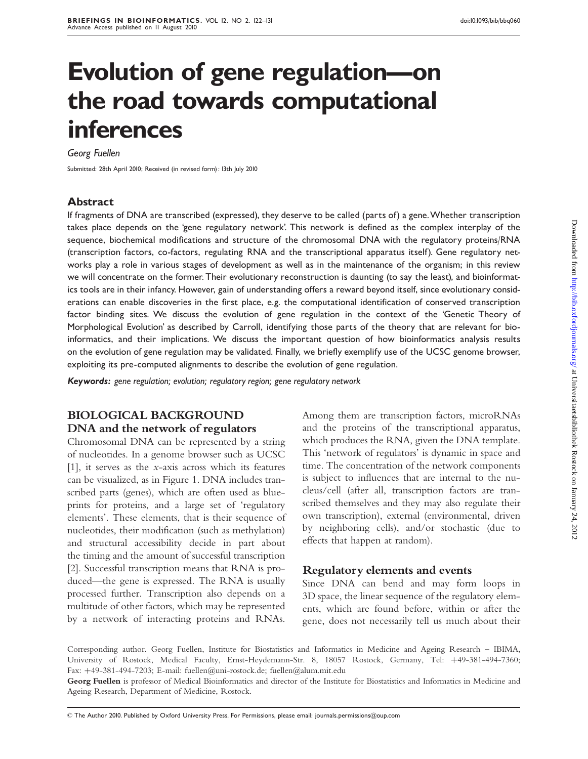# Evolution of gene regulation-on the road towards computational inferences

Georg Fuellen

Submitted: 28th April 2010; Received (in revised form): 13th July 2010

#### Abstract

If fragments of DNA are transcribed (expressed), they deserve to be called (parts of) a gene.Whether transcription takes place depends on the 'gene regulatory network'. This network is defined as the complex interplay of the sequence, biochemical modifications and structure of the chromosomal DNA with the regulatory proteins/RNA (transcription factors, co-factors, regulating RNA and the transcriptional apparatus itself). Gene regulatory networks play a role in various stages of development as well as in the maintenance of the organism; in this review we will concentrate on the former. Their evolutionary reconstruction is daunting (to say the least), and bioinformatics tools are in their infancy. However, gain of understanding offers a reward beyond itself, since evolutionary considerations can enable discoveries in the first place, e.g. the computational identification of conserved transcription factor binding sites. We discuss the evolution of gene regulation in the context of the 'Genetic Theory of Morphological Evolution' as described by Carroll, identifying those parts of the theory that are relevant for bioinformatics, and their implications. We discuss the important question of how bioinformatics analysis results on the evolution of gene regulation may be validated. Finally, we briefly exemplify use of the UCSC genome browser, exploiting its pre-computed alignments to describe the evolution of gene regulation.

Keywords: gene regulation; evolution; regulatory region; gene regulatory network

# BIOLOGICAL BACKGROUND DNA and the network of regulators

Chromosomal DNA can be represented by a string of nucleotides. In a genome browser such as UCSC [1], it serves as the x-axis across which its features can be visualized, as in Figure 1. DNA includes transcribed parts (genes), which are often used as blueprints for proteins, and a large set of 'regulatory elements'. These elements, that is their sequence of nucleotides, their modification (such as methylation) and structural accessibility decide in part about the timing and the amount of successful transcription [2]. Successful transcription means that RNA is produced—the gene is expressed. The RNA is usually processed further. Transcription also depends on a multitude of other factors, which may be represented by a network of interacting proteins and RNAs.

Among them are transcription factors, microRNAs and the proteins of the transcriptional apparatus, which produces the RNA, given the DNA template. This 'network of regulators' is dynamic in space and time. The concentration of the network components is subject to influences that are internal to the nucleus/cell (after all, transcription factors are transcribed themselves and they may also regulate their own transcription), external (environmental, driven by neighboring cells), and/or stochastic (due to effects that happen at random).

#### Regulatory elements and events

Since DNA can bend and may form loops in 3D space, the linear sequence of the regulatory elements, which are found before, within or after the gene, does not necessarily tell us much about their

Corresponding author. Georg Fuellen, Institute for Biostatistics and Informatics in Medicine and Ageing Research – IBIMA, University of Rostock, Medical Faculty, Ernst-Heydemann-Str. 8, 18057 Rostock, Germany, Tel: +49-381-494-7360; Fax: +49-381-494-7203; E-mail: fuellen@uni-rostock.de; fuellen@alum.mit.edu

Georg Fuellen is professor of Medical Bioinformatics and director of the Institute for Biostatistics and Informatics in Medicine and Ageing Research, Department of Medicine, Rostock.

- The Author 2010. Published by Oxford University Press. For Permissions, please email: journals.permissions@oup.com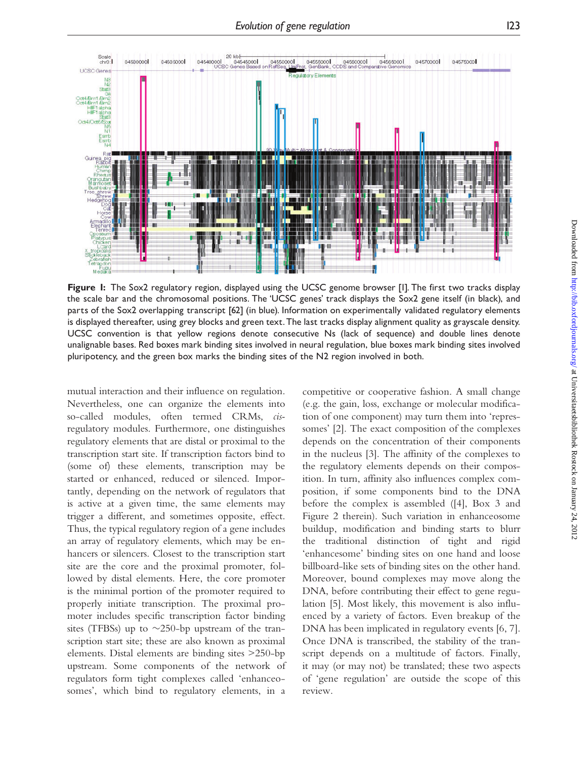

Figure 1: The Sox2 regulatory region, displayed using the UCSC genome browser [1]. The first two tracks display the scale bar and the chromosomal positions. The 'UCSC genes' track displays the Sox2 gene itself (in black), and parts of the Sox2 overlapping transcript [62] (in blue). Information on experimentally validated regulatory elements is displayed thereafter, using grey blocks and green text.The last tracks display alignment quality as grayscale density. UCSC convention is that yellow regions denote consecutive Ns (lack of sequence) and double lines denote unalignable bases. Red boxes mark binding sites involved in neural regulation, blue boxes mark binding sites involved pluripotency, and the green box marks the binding sites of the N2 region involved in both.

mutual interaction and their influence on regulation. Nevertheless, one can organize the elements into so-called modules, often termed CRMs, cisregulatory modules. Furthermore, one distinguishes regulatory elements that are distal or proximal to the transcription start site. If transcription factors bind to (some of) these elements, transcription may be started or enhanced, reduced or silenced. Importantly, depending on the network of regulators that is active at a given time, the same elements may trigger a different, and sometimes opposite, effect. Thus, the typical regulatory region of a gene includes an array of regulatory elements, which may be enhancers or silencers. Closest to the transcription start site are the core and the proximal promoter, followed by distal elements. Here, the core promoter is the minimal portion of the promoter required to properly initiate transcription. The proximal promoter includes specific transcription factor binding sites (TFBSs) up to  $\sim$ 250-bp upstream of the transcription start site; these are also known as proximal elements. Distal elements are binding sites >250-bp upstream. Some components of the network of regulators form tight complexes called 'enhanceosomes', which bind to regulatory elements, in a

competitive or cooperative fashion. A small change (e.g. the gain, loss, exchange or molecular modification of one component) may turn them into 'repressomes' [2]. The exact composition of the complexes depends on the concentration of their components in the nucleus [3]. The affinity of the complexes to the regulatory elements depends on their composition. In turn, affinity also influences complex composition, if some components bind to the DNA before the complex is assembled ([4], Box 3 and Figure 2 therein). Such variation in enhanceosome buildup, modification and binding starts to blurr the traditional distinction of tight and rigid 'enhancesome' binding sites on one hand and loose billboard-like sets of binding sites on the other hand. Moreover, bound complexes may move along the DNA, before contributing their effect to gene regulation [5]. Most likely, this movement is also influenced by a variety of factors. Even breakup of the DNA has been implicated in regulatory events [6, 7]. Once DNA is transcribed, the stability of the transcript depends on a multitude of factors. Finally, it may (or may not) be translated; these two aspects of 'gene regulation' are outside the scope of this review.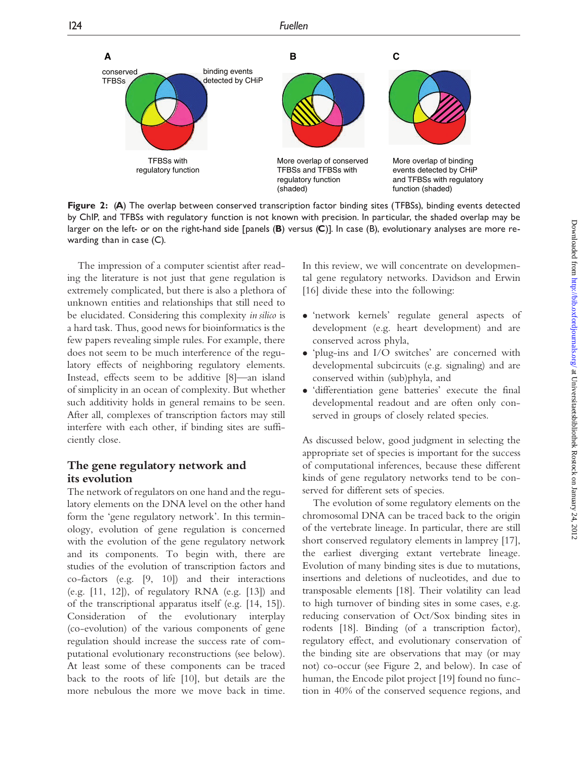

Figure 2: (A) The overlap between conserved transcription factor binding sites (TFBSs), binding events detected by ChIP, and TFBSs with regulatory function is not known with precision. In particular, the shaded overlap may be larger on the left- or on the right-hand side [panels  $(B)$  versus  $(C)$ ]. In case  $(B)$ , evolutionary analyses are more rewarding than in case (C).

The impression of a computer scientist after reading the literature is not just that gene regulation is extremely complicated, but there is also a plethora of unknown entities and relationships that still need to be elucidated. Considering this complexity in silico is a hard task. Thus, good news for bioinformatics is the few papers revealing simple rules. For example, there does not seem to be much interference of the regulatory effects of neighboring regulatory elements. Instead, effects seem to be additive [8]—an island of simplicity in an ocean of complexity. But whether such additivity holds in general remains to be seen. After all, complexes of transcription factors may still interfere with each other, if binding sites are sufficiently close.

### The gene regulatory network and its evolution

The network of regulators on one hand and the regulatory elements on the DNA level on the other hand form the 'gene regulatory network'. In this terminology, evolution of gene regulation is concerned with the evolution of the gene regulatory network and its components. To begin with, there are studies of the evolution of transcription factors and co-factors (e.g. [9, 10]) and their interactions (e.g. [11, 12]), of regulatory RNA (e.g. [13]) and of the transcriptional apparatus itself (e.g. [14, 15]). Consideration of the evolutionary interplay (co-evolution) of the various components of gene regulation should increase the success rate of computational evolutionary reconstructions (see below). At least some of these components can be traced back to the roots of life [10], but details are the more nebulous the more we move back in time.

In this review, we will concentrate on developmental gene regulatory networks. Davidson and Erwin [16] divide these into the following:

- 'network kernels' regulate general aspects of development (e.g. heart development) and are conserved across phyla,
- 'plug-ins and I/O switches' are concerned with developmental subcircuits (e.g. signaling) and are conserved within (sub)phyla, and
- 'differentiation gene batteries' execute the final developmental readout and are often only conserved in groups of closely related species.

As discussed below, good judgment in selecting the appropriate set of species is important for the success of computational inferences, because these different kinds of gene regulatory networks tend to be conserved for different sets of species.

The evolution of some regulatory elements on the chromosomal DNA can be traced back to the origin of the vertebrate lineage. In particular, there are still short conserved regulatory elements in lamprey [17], the earliest diverging extant vertebrate lineage. Evolution of many binding sites is due to mutations, insertions and deletions of nucleotides, and due to transposable elements [18]. Their volatility can lead to high turnover of binding sites in some cases, e.g. reducing conservation of Oct/Sox binding sites in rodents [18]. Binding (of a transcription factor), regulatory effect, and evolutionary conservation of the binding site are observations that may (or may not) co-occur (see Figure 2, and below). In case of human, the Encode pilot project [19] found no function in 40% of the conserved sequence regions, and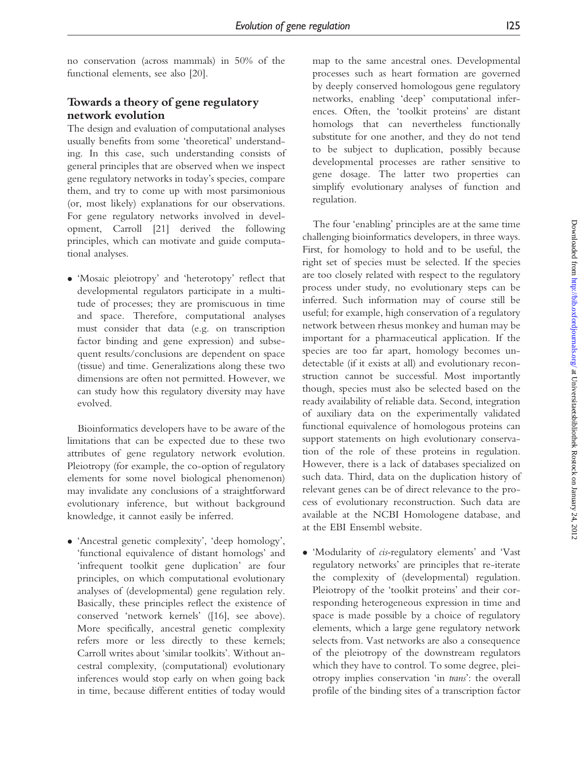no conservation (across mammals) in 50% of the functional elements, see also [20].

# Towards a theory of gene regulatory network evolution

The design and evaluation of computational analyses usually benefits from some 'theoretical' understanding. In this case, such understanding consists of general principles that are observed when we inspect gene regulatory networks in today's species, compare them, and try to come up with most parsimonious (or, most likely) explanations for our observations. For gene regulatory networks involved in development, Carroll [21] derived the following principles, which can motivate and guide computational analyses.

 'Mosaic pleiotropy' and 'heterotopy' reflect that developmental regulators participate in a multitude of processes; they are promiscuous in time and space. Therefore, computational analyses must consider that data (e.g. on transcription factor binding and gene expression) and subsequent results/conclusions are dependent on space (tissue) and time. Generalizations along these two dimensions are often not permitted. However, we can study how this regulatory diversity may have evolved.

Bioinformatics developers have to be aware of the limitations that can be expected due to these two attributes of gene regulatory network evolution. Pleiotropy (for example, the co-option of regulatory elements for some novel biological phenomenon) may invalidate any conclusions of a straightforward evolutionary inference, but without background knowledge, it cannot easily be inferred.

 'Ancestral genetic complexity', 'deep homology', 'functional equivalence of distant homologs' and 'infrequent toolkit gene duplication' are four principles, on which computational evolutionary analyses of (developmental) gene regulation rely. Basically, these principles reflect the existence of conserved 'network kernels' ([16], see above). More specifically, ancestral genetic complexity refers more or less directly to these kernels; Carroll writes about 'similar toolkits'. Without ancestral complexity, (computational) evolutionary inferences would stop early on when going back in time, because different entities of today would

map to the same ancestral ones. Developmental processes such as heart formation are governed by deeply conserved homologous gene regulatory networks, enabling 'deep' computational inferences. Often, the 'toolkit proteins' are distant homologs that can nevertheless functionally substitute for one another, and they do not tend to be subject to duplication, possibly because developmental processes are rather sensitive to gene dosage. The latter two properties can simplify evolutionary analyses of function and regulation.

The four 'enabling' principles are at the same time challenging bioinformatics developers, in three ways. First, for homology to hold and to be useful, the right set of species must be selected. If the species are too closely related with respect to the regulatory process under study, no evolutionary steps can be inferred. Such information may of course still be useful; for example, high conservation of a regulatory network between rhesus monkey and human may be important for a pharmaceutical application. If the species are too far apart, homology becomes undetectable (if it exists at all) and evolutionary reconstruction cannot be successful. Most importantly though, species must also be selected based on the ready availability of reliable data. Second, integration of auxiliary data on the experimentally validated functional equivalence of homologous proteins can support statements on high evolutionary conservation of the role of these proteins in regulation. However, there is a lack of databases specialized on such data. Third, data on the duplication history of relevant genes can be of direct relevance to the process of evolutionary reconstruction. Such data are available at the NCBI Homologene database, and at the EBI Ensembl website.

 'Modularity of cis-regulatory elements' and 'Vast regulatory networks' are principles that re-iterate the complexity of (developmental) regulation. Pleiotropy of the 'toolkit proteins' and their corresponding heterogeneous expression in time and space is made possible by a choice of regulatory elements, which a large gene regulatory network selects from. Vast networks are also a consequence of the pleiotropy of the downstream regulators which they have to control. To some degree, pleiotropy implies conservation 'in trans': the overall profile of the binding sites of a transcription factor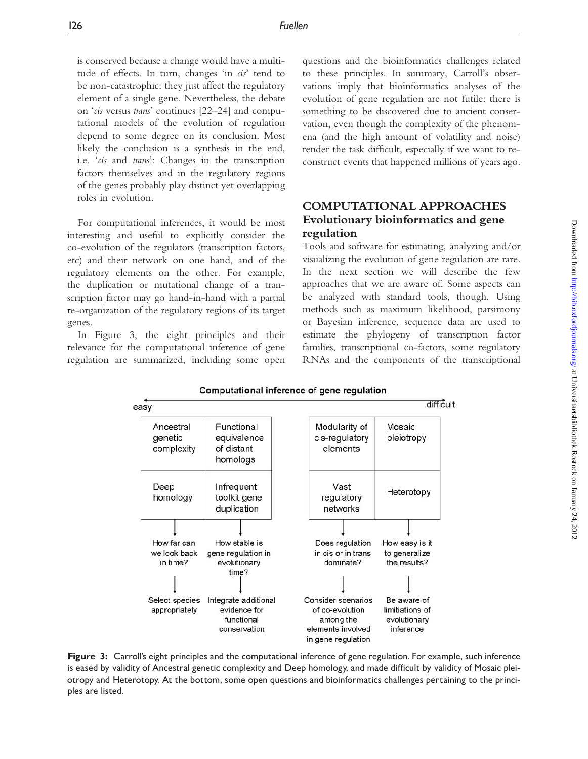is conserved because a change would have a multitude of effects. In turn, changes 'in cis' tend to be non-catastrophic: they just affect the regulatory element of a single gene. Nevertheless, the debate on 'cis versus trans' continues [22–24] and computational models of the evolution of regulation depend to some degree on its conclusion. Most likely the conclusion is a synthesis in the end, i.e. 'cis and trans': Changes in the transcription factors themselves and in the regulatory regions of the genes probably play distinct yet overlapping roles in evolution.

For computational inferences, it would be most interesting and useful to explicitly consider the co-evolution of the regulators (transcription factors, etc) and their network on one hand, and of the regulatory elements on the other. For example, the duplication or mutational change of a transcription factor may go hand-in-hand with a partial re-organization of the regulatory regions of its target genes.

In Figure 3, the eight principles and their relevance for the computational inference of gene regulation are summarized, including some open questions and the bioinformatics challenges related to these principles. In summary, Carroll's observations imply that bioinformatics analyses of the evolution of gene regulation are not futile: there is something to be discovered due to ancient conservation, even though the complexity of the phenomena (and the high amount of volatility and noise) render the task difficult, especially if we want to reconstruct events that happened millions of years ago.

## COMPUTATIONAL APPROACHES Evolutionary bioinformatics and gene regulation

Tools and software for estimating, analyzing and/or visualizing the evolution of gene regulation are rare. In the next section we will describe the few approaches that we are aware of. Some aspects can be analyzed with standard tools, though. Using methods such as maximum likelihood, parsimony or Bayesian inference, sequence data are used to estimate the phylogeny of transcription factor families, transcriptional co-factors, some regulatory RNAs and the components of the transcriptional

Computational inference of gene regulation difficult easy Ancestral Functional Modularity of Mosaic genetic equivalence cis-regulatory pleiotropy complexity of distant elements homologs Infrequent Deep Vast Heterotopy homology toolkit gene regulatory duplication networks How far can How stable is Does regulation How easy is it we look back gene regulation in in cis or in trans to generalize the results? in time? dominate? evolutionary time? Select species Integrate additional Consider scenarios Be aware of appropriately evidence for of co-evolution limitiations of functional among the evolutionary conservation elements involved inference in gene regulation

Figure 3: Carroll's eight principles and the computational inference of gene regulation. For example, such inference is eased by validity of Ancestral genetic complexity and Deep homology, and made difficult by validity of Mosaic pleiotropy and Heterotopy. At the bottom, some open questions and bioinformatics challenges pertaining to the principles are listed.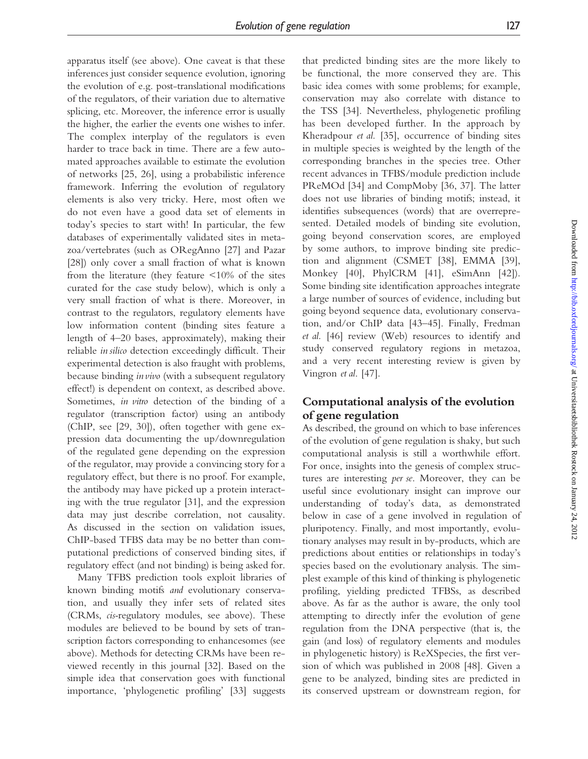apparatus itself (see above). One caveat is that these inferences just consider sequence evolution, ignoring the evolution of e.g. post-translational modifications of the regulators, of their variation due to alternative splicing, etc. Moreover, the inference error is usually the higher, the earlier the events one wishes to infer. The complex interplay of the regulators is even harder to trace back in time. There are a few automated approaches available to estimate the evolution of networks [25, 26], using a probabilistic inference framework. Inferring the evolution of regulatory elements is also very tricky. Here, most often we do not even have a good data set of elements in today's species to start with! In particular, the few databases of experimentally validated sites in metazoa/vertebrates (such as ORegAnno [27] and Pazar [28]) only cover a small fraction of what is known from the literature (they feature  $\leq 10\%$  of the sites curated for the case study below), which is only a very small fraction of what is there. Moreover, in contrast to the regulators, regulatory elements have low information content (binding sites feature a length of 4–20 bases, approximately), making their reliable in silico detection exceedingly difficult. Their experimental detection is also fraught with problems, because binding invivo (with a subsequent regulatory effect!) is dependent on context, as described above. Sometimes, in vitro detection of the binding of a regulator (transcription factor) using an antibody (ChIP, see [29, 30]), often together with gene expression data documenting the up/downregulation of the regulated gene depending on the expression of the regulator, may provide a convincing story for a regulatory effect, but there is no proof. For example, the antibody may have picked up a protein interacting with the true regulator [31], and the expression data may just describe correlation, not causality. As discussed in the section on validation issues, ChIP-based TFBS data may be no better than computational predictions of conserved binding sites, if regulatory effect (and not binding) is being asked for.

Many TFBS prediction tools exploit libraries of known binding motifs and evolutionary conservation, and usually they infer sets of related sites (CRMs, cis-regulatory modules, see above). These modules are believed to be bound by sets of transcription factors corresponding to enhancesomes (see above). Methods for detecting CRMs have been reviewed recently in this journal [32]. Based on the simple idea that conservation goes with functional importance, 'phylogenetic profiling' [33] suggests

that predicted binding sites are the more likely to be functional, the more conserved they are. This basic idea comes with some problems; for example, conservation may also correlate with distance to the TSS [34]. Nevertheless, phylogenetic profiling has been developed further. In the approach by Kheradpour et al. [35], occurrence of binding sites in multiple species is weighted by the length of the corresponding branches in the species tree. Other recent advances in TFBS/module prediction include PReMOd [34] and CompMoby [36, 37]. The latter does not use libraries of binding motifs; instead, it identifies subsequences (words) that are overrepresented. Detailed models of binding site evolution, going beyond conservation scores, are employed by some authors, to improve binding site prediction and alignment (CSMET [38], EMMA [39], Monkey [40], PhylCRM [41], eSimAnn [42]). Some binding site identification approaches integrate a large number of sources of evidence, including but going beyond sequence data, evolutionary conservation, and/or ChIP data [43–45]. Finally, Fredman et al. [46] review (Web) resources to identify and study conserved regulatory regions in metazoa, and a very recent interesting review is given by Vingron et al. [47].

### Computational analysis of the evolution of gene regulation

As described, the ground on which to base inferences of the evolution of gene regulation is shaky, but such computational analysis is still a worthwhile effort. For once, insights into the genesis of complex structures are interesting per se. Moreover, they can be useful since evolutionary insight can improve our understanding of today's data, as demonstrated below in case of a gene involved in regulation of pluripotency. Finally, and most importantly, evolutionary analyses may result in by-products, which are predictions about entities or relationships in today's species based on the evolutionary analysis. The simplest example of this kind of thinking is phylogenetic profiling, yielding predicted TFBSs, as described above. As far as the author is aware, the only tool attempting to directly infer the evolution of gene regulation from the DNA perspective (that is, the gain (and loss) of regulatory elements and modules in phylogenetic history) is ReXSpecies, the first version of which was published in 2008 [48]. Given a gene to be analyzed, binding sites are predicted in its conserved upstream or downstream region, for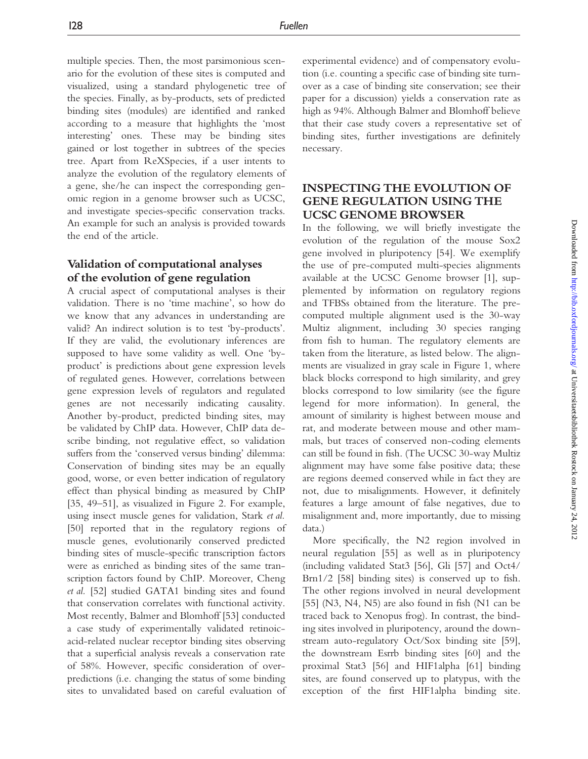multiple species. Then, the most parsimonious scenario for the evolution of these sites is computed and visualized, using a standard phylogenetic tree of the species. Finally, as by-products, sets of predicted binding sites (modules) are identified and ranked according to a measure that highlights the 'most interesting' ones. These may be binding sites gained or lost together in subtrees of the species tree. Apart from ReXSpecies, if a user intents to analyze the evolution of the regulatory elements of a gene, she/he can inspect the corresponding genomic region in a genome browser such as UCSC, and investigate species-specific conservation tracks. An example for such an analysis is provided towards the end of the article.

#### Validation of computational analyses of the evolution of gene regulation

A crucial aspect of computational analyses is their validation. There is no 'time machine', so how do we know that any advances in understanding are valid? An indirect solution is to test 'by-products'. If they are valid, the evolutionary inferences are supposed to have some validity as well. One 'byproduct' is predictions about gene expression levels of regulated genes. However, correlations between gene expression levels of regulators and regulated genes are not necessarily indicating causality. Another by-product, predicted binding sites, may be validated by ChIP data. However, ChIP data describe binding, not regulative effect, so validation suffers from the 'conserved versus binding' dilemma: Conservation of binding sites may be an equally good, worse, or even better indication of regulatory effect than physical binding as measured by ChIP [35, 49–51], as visualized in Figure 2. For example, using insect muscle genes for validation, Stark et al. [50] reported that in the regulatory regions of muscle genes, evolutionarily conserved predicted binding sites of muscle-specific transcription factors were as enriched as binding sites of the same transcription factors found by ChIP. Moreover, Cheng et al. [52] studied GATA1 binding sites and found that conservation correlates with functional activity. Most recently, Balmer and Blomhoff [53] conducted a case study of experimentally validated retinoicacid-related nuclear receptor binding sites observing that a superficial analysis reveals a conservation rate of 58%. However, specific consideration of overpredictions (i.e. changing the status of some binding sites to unvalidated based on careful evaluation of experimental evidence) and of compensatory evolution (i.e. counting a specific case of binding site turnover as a case of binding site conservation; see their paper for a discussion) yields a conservation rate as high as 94%. Although Balmer and Blomhoff believe that their case study covers a representative set of binding sites, further investigations are definitely necessary.

## INSPECTING THE EVOLUTION OF GENE REGULATION USING THE UCSC GENOME BROWSER

In the following, we will briefly investigate the evolution of the regulation of the mouse Sox2 gene involved in pluripotency [54]. We exemplify the use of pre-computed multi-species alignments available at the UCSC Genome browser [1], supplemented by information on regulatory regions and TFBSs obtained from the literature. The precomputed multiple alignment used is the 30-way Multiz alignment, including 30 species ranging from fish to human. The regulatory elements are taken from the literature, as listed below. The alignments are visualized in gray scale in Figure 1, where black blocks correspond to high similarity, and grey blocks correspond to low similarity (see the figure legend for more information). In general, the amount of similarity is highest between mouse and rat, and moderate between mouse and other mammals, but traces of conserved non-coding elements can still be found in fish. (The UCSC 30-way Multiz alignment may have some false positive data; these are regions deemed conserved while in fact they are not, due to misalignments. However, it definitely features a large amount of false negatives, due to misalignment and, more importantly, due to missing data.)

More specifically, the N2 region involved in neural regulation [55] as well as in pluripotency (including validated Stat3 [56], Gli [57] and Oct4/ Brn1/2 [58] binding sites) is conserved up to fish. The other regions involved in neural development [55] (N3, N4, N5) are also found in fish (N1 can be traced back to Xenopus frog). In contrast, the binding sites involved in pluripotency, around the downstream auto-regulatory Oct/Sox binding site [59], the downstream Esrrb binding sites [60] and the proximal Stat3 [56] and HIF1alpha [61] binding sites, are found conserved up to platypus, with the exception of the first HIF1alpha binding site.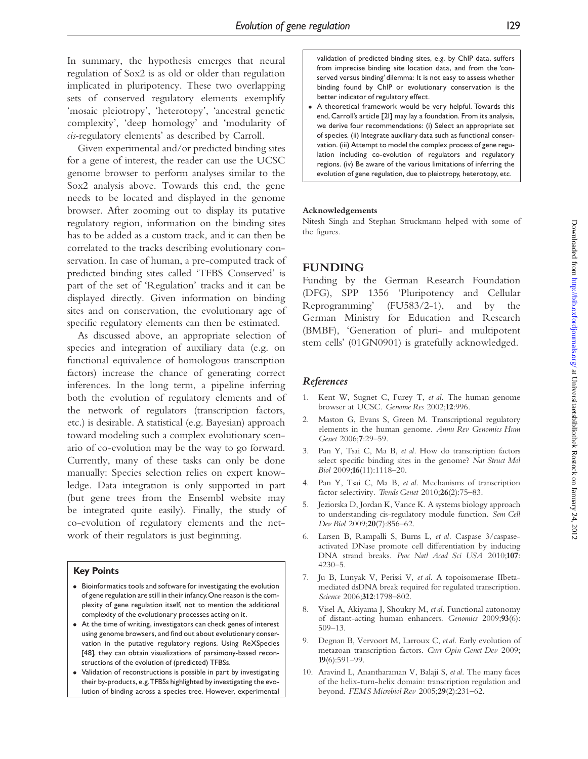In summary, the hypothesis emerges that neural regulation of Sox2 is as old or older than regulation implicated in pluripotency. These two overlapping sets of conserved regulatory elements exemplify 'mosaic pleiotropy', 'heterotopy', 'ancestral genetic complexity', 'deep homology' and 'modularity of cis-regulatory elements' as described by Carroll.

Given experimental and/or predicted binding sites for a gene of interest, the reader can use the UCSC genome browser to perform analyses similar to the Sox2 analysis above. Towards this end, the gene needs to be located and displayed in the genome browser. After zooming out to display its putative regulatory region, information on the binding sites has to be added as a custom track, and it can then be correlated to the tracks describing evolutionary conservation. In case of human, a pre-computed track of predicted binding sites called 'TFBS Conserved' is part of the set of 'Regulation' tracks and it can be displayed directly. Given information on binding sites and on conservation, the evolutionary age of specific regulatory elements can then be estimated.

As discussed above, an appropriate selection of species and integration of auxiliary data (e.g. on functional equivalence of homologous transcription factors) increase the chance of generating correct inferences. In the long term, a pipeline inferring both the evolution of regulatory elements and of the network of regulators (transcription factors, etc.) is desirable. A statistical (e.g. Bayesian) approach toward modeling such a complex evolutionary scenario of co-evolution may be the way to go forward. Currently, many of these tasks can only be done manually: Species selection relies on expert knowledge. Data integration is only supported in part (but gene trees from the Ensembl website may be integrated quite easily). Finally, the study of co-evolution of regulatory elements and the network of their regulators is just beginning.

#### Key Points

- Bioinformatics tools and software for investigating the evolution of gene regulation are still in their infancy. One reason is the complexity of gene regulation itself, not to mention the additional complexity of the evolutionary processes acting on it.
- At the time of writing, investigators can check genes of interest using genome browsers, and find out about evolutionary conservation in the putative regulatory regions. Using ReXSpecies [48], they can obtain visualizations of parsimony-based reconstructions of the evolution of (predicted) TFBSs.
- Validation of reconstructions is possible in part by investigating their by-products, e.g. TFBSs highlighted by investigating the evolution of binding across a species tree. However, experimental

validation of predicted binding sites, e.g. by ChIP data, suffers from imprecise binding site location data, and from the 'conserved versus binding' dilemma: It is not easy to assess whether binding found by ChIP or evolutionary conservation is the better indicator of regulatory effect.

 A theoretical framework would be very helpful. Towards this end, Carroll's article [21] may lay a foundation. From its analysis, we derive four recommendations: (i) Select an appropriate set of species. (ii) Integrate auxiliary data such as functional conservation. (iii) Attempt to model the complex process of gene regulation including co-evolution of regulators and regulatory regions. (iv) Be aware of the various limitations of inferring the evolution of gene regulation, due to pleiotropy, heterotopy, etc.

#### Acknowledgements

Nitesh Singh and Stephan Struckmann helped with some of the figures.

### FUNDING

Funding by the German Research Foundation (DFG), SPP 1356 'Pluripotency and Cellular Reprogramming' (FU583/2-1), and by the German Ministry for Education and Research (BMBF), 'Generation of pluri- and multipotent stem cells' (01GN0901) is gratefully acknowledged.

#### References

- 1. Kent W, Sugnet C, Furey T, et al. The human genome browser at UCSC. Genome Res 2002;12:996.
- 2. Maston G, Evans S, Green M. Transcriptional regulatory elements in the human genome. Annu Rev Genomics Hum Genet 2006;7:29–59.
- 3. Pan Y, Tsai C, Ma B, et al. How do transcription factors select specific binding sites in the genome? Nat Struct Mol Biol 2009;16(11):1118–20.
- 4. Pan Y, Tsai C, Ma B, et al. Mechanisms of transcription factor selectivity. Trends Genet 2010;26(2):75-83.
- Jeziorska D, Jordan K, Vance K. A systems biology approach to understanding cis-regulatory module function. Sem Cell Dev Biol 2009;20(7):856–62.
- 6. Larsen B, Rampalli S, Burns L, et al. Caspase 3/caspaseactivated DNase promote cell differentiation by inducing DNA strand breaks. Proc Natl Acad Sci USA 2010;107: 4230–5.
- 7. Ju B, Lunyak V, Perissi V, et al. A topoisomerase IIbetamediated dsDNA break required for regulated transcription. Science 2006;312:1798-802.
- 8. Visel A, Akiyama J, Shoukry M, et al. Functional autonomy of distant-acting human enhancers. Genomics 2009;93(6): 509–13.
- 9. Degnan B, Vervoort M, Larroux C, et al. Early evolution of metazoan transcription factors. Curr Opin Genet Dev 2009; 19(6):591–99.
- 10. Aravind L, Anantharaman V, Balaji S, et al. The many faces of the helix-turn-helix domain: transcription regulation and beyond. FEMS Microbiol Rev 2005;29(2):231–62.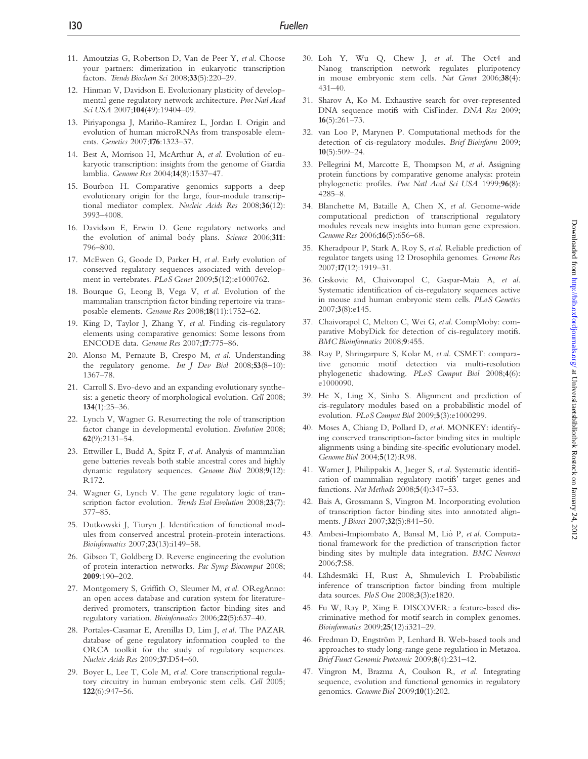- 11. Amoutzias G, Robertson D, Van de Peer Y, et al. Choose your partners: dimerization in eukaryotic transcription factors. Trends Biochem Sci 2008;33(5):220–29.
- 12. Hinman V, Davidson E. Evolutionary plasticity of developmental gene regulatory network architecture. Proc Natl Acad Sci USA 2007;104(49):19404-09.
- 13. Piriyapongsa J, Mariño-Ramírez L, Jordan I. Origin and evolution of human microRNAs from transposable elements. Genetics 2007;176:1323–37.
- 14. Best A, Morrison H, McArthur A, et al. Evolution of eukaryotic transcription: insights from the genome of Giardia lamblia. Genome Res 2004;14(8):1537–47.
- 15. Bourbon H. Comparative genomics supports a deep evolutionary origin for the large, four-module transcriptional mediator complex. Nucleic Acids Res 2008;36(12): 3993–4008.
- 16. Davidson E, Erwin D. Gene regulatory networks and the evolution of animal body plans. Science 2006;311: 796–800.
- 17. McEwen G, Goode D, Parker H, et al. Early evolution of conserved regulatory sequences associated with development in vertebrates. PLoS Genet 2009;5(12):e1000762.
- 18. Bourque G, Leong B, Vega V, et al. Evolution of the mammalian transcription factor binding repertoire via transposable elements. Genome Res 2008;18(11):1752–62.
- 19. King D, Taylor J, Zhang Y, et al. Finding cis-regulatory elements using comparative genomics: Some lessons from ENCODE data. Genome Res 2007;17:775–86.
- 20. Alonso M, Pernaute B, Crespo M, et al. Understanding the regulatory genome. Int J Dev Biol 2008;53(8–10): 1367–78.
- 21. Carroll S. Evo-devo and an expanding evolutionary synthesis: a genetic theory of morphological evolution. Cell 2008; 134(1):25–36.
- 22. Lynch V, Wagner G. Resurrecting the role of transcription factor change in developmental evolution. Evolution 2008; 62(9):2131–54.
- 23. Ettwiller L, Budd A, Spitz F, et al. Analysis of mammalian gene batteries reveals both stable ancestral cores and highly dynamic regulatory sequences. Genome Biol 2008;9(12): R172.
- 24. Wagner G, Lynch V. The gene regulatory logic of transcription factor evolution. Trends Ecol Evolution 2008;23(7): 377–85.
- 25. Dutkowski J, Tiuryn J. Identification of functional modules from conserved ancestral protein-protein interactions. Bioinformatics 2007;23(13):i149–58.
- 26. Gibson T, Goldberg D. Reverse engineering the evolution of protein interaction networks. Pac Symp Biocomput 2008; 2009:190–202.
- 27. Montgomery S, Griffith O, Sleumer M, et al. ORegAnno: an open access database and curation system for literaturederived promoters, transcription factor binding sites and regulatory variation. Bioinformatics 2006;22(5):637–40.
- 28. Portales-Casamar E, Arenillas D, Lim J, et al. The PAZAR database of gene regulatory information coupled to the ORCA toolkit for the study of regulatory sequences. Nucleic Acids Res 2009;37:D54–60.
- 29. Boyer L, Lee T, Cole M, et al. Core transcriptional regulatory circuitry in human embryonic stem cells. Cell 2005; 122(6):947–56.
- 30. Loh Y, Wu Q, Chew J, et al. The Oct4 and Nanog transcription network regulates pluripotency in mouse embryonic stem cells. Nat Genet 2006;38(4): 431–40.
- 31. Sharov A, Ko M. Exhaustive search for over-represented DNA sequence motifs with CisFinder. DNA Res 2009;  $16(5):261-73.$
- 32. van Loo P, Marynen P. Computational methods for the detection of cis-regulatory modules. Brief Bioinform 2009; 10(5):509–24.
- 33. Pellegrini M, Marcotte E, Thompson M, et al. Assigning protein functions by comparative genome analysis: protein phylogenetic profiles. Proc Natl Acad Sci USA 1999;96(8): 4285–8.
- 34. Blanchette M, Bataille A, Chen X, et al. Genome-wide computational prediction of transcriptional regulatory modules reveals new insights into human gene expression. Genome Res 2006;16(5):656–68.
- 35. Kheradpour P, Stark A, Roy S, et al. Reliable prediction of regulator targets using 12 Drosophila genomes. Genome Res 2007;17(12):1919–31.
- 36. Grskovic M, Chaivorapol C, Gaspar-Maia A, et al. Systematic identification of cis-regulatory sequences active in mouse and human embryonic stem cells. PLoS Genetics 2007;3(8):e145.
- 37. Chaivorapol C, Melton C, Wei G, et al. CompMoby: comparative MobyDick for detection of cis-regulatory motifs. BMC Bioinformatics 2008;9:455.
- 38. Ray P, Shringarpure S, Kolar M, et al. CSMET: comparative genomic motif detection via multi-resolution phylogenetic shadowing. PLoS Comput Biol 2008;4(6): e1000090.
- 39. He X, Ling X, Sinha S. Alignment and prediction of cis-regulatory modules based on a probabilistic model of evolution. PLoS Comput Biol 2009;5(3):e1000299.
- 40. Moses A, Chiang D, Pollard D, et al. MONKEY: identifying conserved transcription-factor binding sites in multiple alignments using a binding site-specific evolutionary model. Genome Biol 2004;5(12):R98.
- 41. Warner J, Philippakis A, Jaeger S, et al. Systematic identification of mammalian regulatory motifs' target genes and functions. Nat Methods 2008;5(4):347–53.
- 42. Bais A, Grossmann S, Vingron M. Incorporating evolution of transcription factor binding sites into annotated alignments. *J Biosci* 2007;32(5):841-50.
- 43. Ambesi-Impiombato A, Bansal M, Liò P, et al. Computational framework for the prediction of transcription factor binding sites by multiple data integration. BMC Neurosci 2006;7:S8.
- 44. Lähdesmäki H, Rust A, Shmulevich I. Probabilistic inference of transcription factor binding from multiple data sources. PloS One 2008;3(3):e1820.
- 45. Fu W, Ray P, Xing E. DISCOVER: a feature-based discriminative method for motif search in complex genomes. Bioinformatics 2009;25(12):i321–29.
- 46. Fredman D, Engström P, Lenhard B. Web-based tools and approaches to study long-range gene regulation in Metazoa. Brief Funct Genomic Proteomic 2009;8(4):231–42.
- 47. Vingron M, Brazma A, Coulson R, et al. Integrating sequence, evolution and functional genomics in regulatory genomics. Genome Biol 2009;10(1):202.